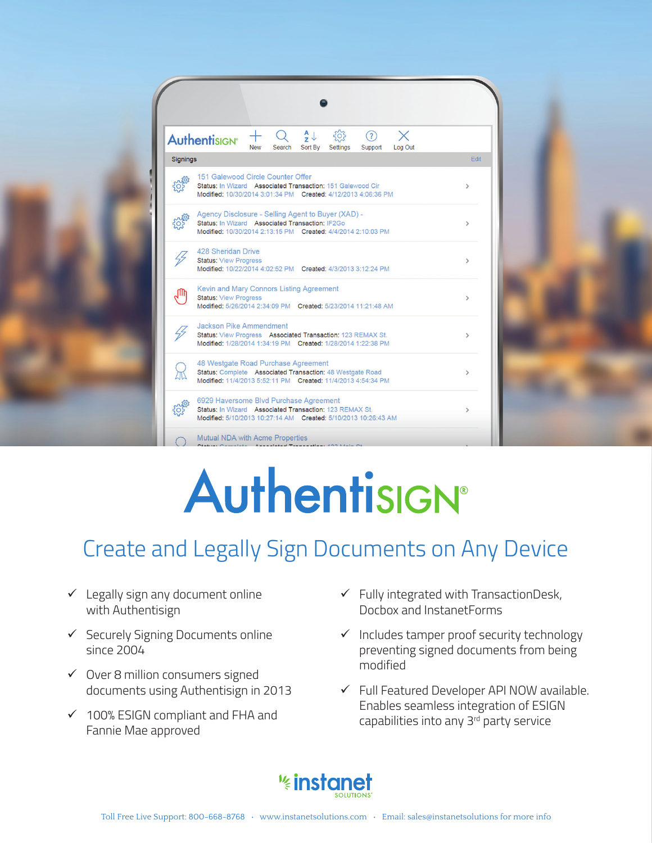

## Authentisign®

## Create and Legally Sign Documents on Any Device

- $\checkmark$  Legally sign any document online with Authentisign
- $\checkmark$  Securely Signing Documents online since 2004
- $\checkmark$  Over 8 million consumers signed documents using Authentisign in 2013
- $\checkmark$  100% ESIGN compliant and FHA and Fannie Mae approved
- $\checkmark$  Fully integrated with TransactionDesk, Docbox and InstanetForms
- $\checkmark$  Includes tamper proof security technology preventing signed documents from being modified
- $\checkmark$  Full Featured Developer API NOW available. Enables seamless integration of ESIGN capabilities into any  $3<sup>rd</sup>$  party service